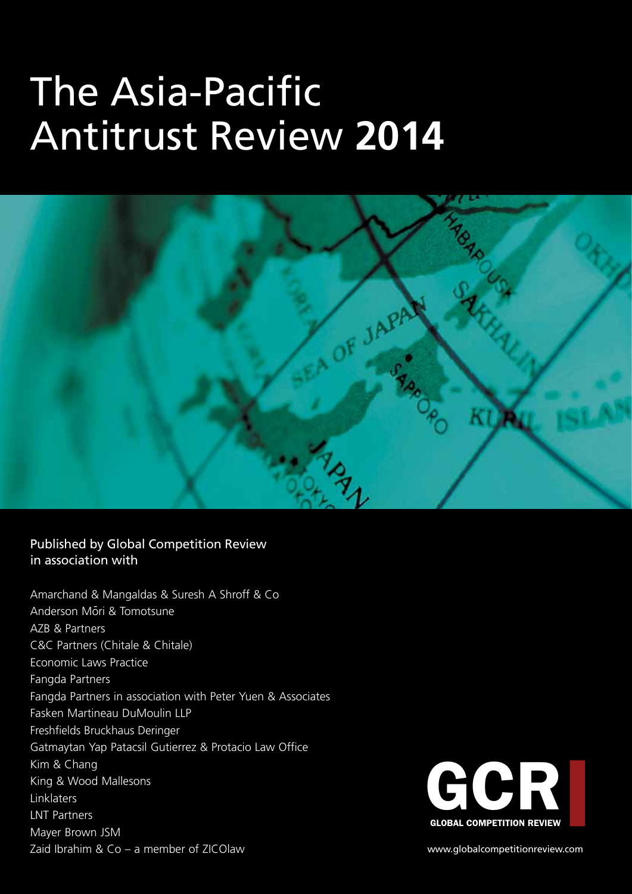# The Asia-Pacific Antitrust Review **2014**



## Published by Global Competition Review in association with

Amarchand & Mangaldas & Suresh A Shroff & Co Anderson Mōri & Tomotsune AZB & Partners C&C Partners (Chitale & Chitale) Economic Laws Practice Fangda Partners Fangda Partners in association with Peter Yuen & Associates Fasken Martineau DuMoulin LLP Freshfields Bruckhaus Deringer Gatmaytan Yap Patacsil Gutierrez & Protacio Law Office Kim & Chang King & Wood Mallesons Linklaters LNT Partners Mayer Brown JSM Zaid Ibrahim & Co – a member of ZICOlaw

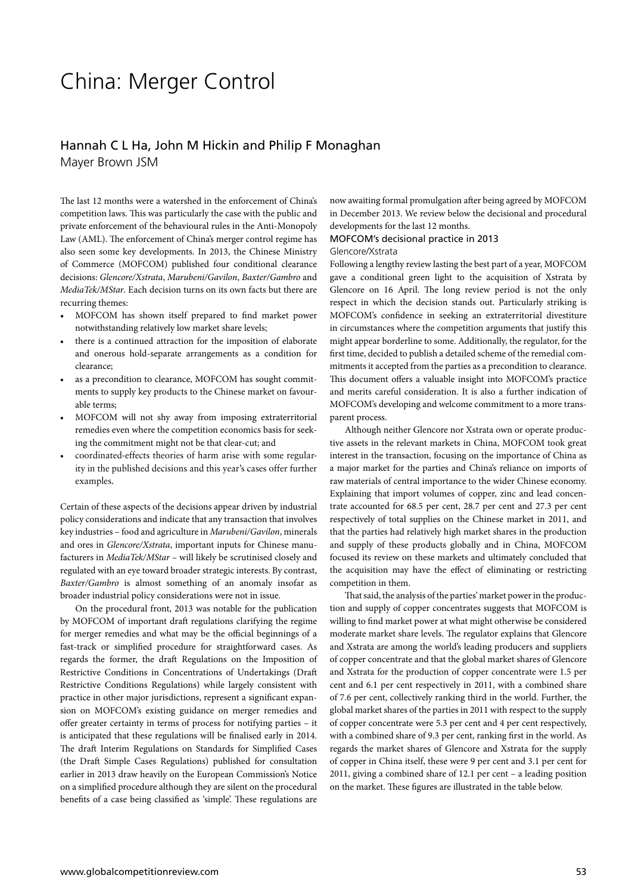# China: Merger Control

### Hannah C L Ha, John M Hickin and Philip F Monaghan Mayer Brown JSM

The last 12 months were a watershed in the enforcement of China's competition laws. This was particularly the case with the public and private enforcement of the behavioural rules in the Anti-Monopoly Law (AML). The enforcement of China's merger control regime has also seen some key developments. In 2013, the Chinese Ministry of Commerce (MOFCOM) published four conditional clearance decisions: *Glencore/Xstrata*, *Marubeni/Gavilon*, *Baxter/Gambro* and *MediaTek/MStar*. Each decision turns on its own facts but there are recurring themes:

- MOFCOM has shown itself prepared to find market power notwithstanding relatively low market share levels;
- there is a continued attraction for the imposition of elaborate and onerous hold-separate arrangements as a condition for clearance;
- as a precondition to clearance, MOFCOM has sought commitments to supply key products to the Chinese market on favourable terms;
- MOFCOM will not shy away from imposing extraterritorial remedies even where the competition economics basis for seeking the commitment might not be that clear-cut; and
- coordinated-effects theories of harm arise with some regularity in the published decisions and this year's cases offer further examples.

Certain of these aspects of the decisions appear driven by industrial policy considerations and indicate that any transaction that involves key industries – food and agriculture in *Marubeni/Gavilon*, minerals and ores in *Glencore/Xstrata*, important inputs for Chinese manufacturers in *MediaTek/MStar* – will likely be scrutinised closely and regulated with an eye toward broader strategic interests. By contrast, *Baxter/Gambro* is almost something of an anomaly insofar as broader industrial policy considerations were not in issue.

On the procedural front, 2013 was notable for the publication by MOFCOM of important draft regulations clarifying the regime for merger remedies and what may be the official beginnings of a fast-track or simplified procedure for straightforward cases. As regards the former, the draft Regulations on the Imposition of Restrictive Conditions in Concentrations of Undertakings (Draft Restrictive Conditions Regulations) while largely consistent with practice in other major jurisdictions, represent a significant expansion on MOFCOM's existing guidance on merger remedies and offer greater certainty in terms of process for notifying parties – it is anticipated that these regulations will be finalised early in 2014. The draft Interim Regulations on Standards for Simplified Cases (the Draft Simple Cases Regulations) published for consultation earlier in 2013 draw heavily on the European Commission's Notice on a simplified procedure although they are silent on the procedural benefits of a case being classified as 'simple'. These regulations are

now awaiting formal promulgation after being agreed by MOFCOM in December 2013. We review below the decisional and procedural developments for the last 12 months.

#### MOFCOM's decisional practice in 2013 Glencore/Xstrata

Following a lengthy review lasting the best part of a year, MOFCOM gave a conditional green light to the acquisition of Xstrata by Glencore on 16 April. The long review period is not the only respect in which the decision stands out. Particularly striking is MOFCOM's confidence in seeking an extraterritorial divestiture in circumstances where the competition arguments that justify this might appear borderline to some. Additionally, the regulator, for the first time, decided to publish a detailed scheme of the remedial commitments it accepted from the parties as a precondition to clearance. This document offers a valuable insight into MOFCOM's practice and merits careful consideration. It is also a further indication of MOFCOM's developing and welcome commitment to a more transparent process.

Although neither Glencore nor Xstrata own or operate productive assets in the relevant markets in China, MOFCOM took great interest in the transaction, focusing on the importance of China as a major market for the parties and China's reliance on imports of raw materials of central importance to the wider Chinese economy. Explaining that import volumes of copper, zinc and lead concentrate accounted for 68.5 per cent, 28.7 per cent and 27.3 per cent respectively of total supplies on the Chinese market in 2011, and that the parties had relatively high market shares in the production and supply of these products globally and in China, MOFCOM focused its review on these markets and ultimately concluded that the acquisition may have the effect of eliminating or restricting competition in them.

That said, the analysis of the parties' market power in the production and supply of copper concentrates suggests that MOFCOM is willing to find market power at what might otherwise be considered moderate market share levels. The regulator explains that Glencore and Xstrata are among the world's leading producers and suppliers of copper concentrate and that the global market shares of Glencore and Xstrata for the production of copper concentrate were 1.5 per cent and 6.1 per cent respectively in 2011, with a combined share of 7.6 per cent, collectively ranking third in the world. Further, the global market shares of the parties in 2011 with respect to the supply of copper concentrate were 5.3 per cent and 4 per cent respectively, with a combined share of 9.3 per cent, ranking first in the world. As regards the market shares of Glencore and Xstrata for the supply of copper in China itself, these were 9 per cent and 3.1 per cent for 2011, giving a combined share of 12.1 per cent – a leading position on the market. These figures are illustrated in the table below.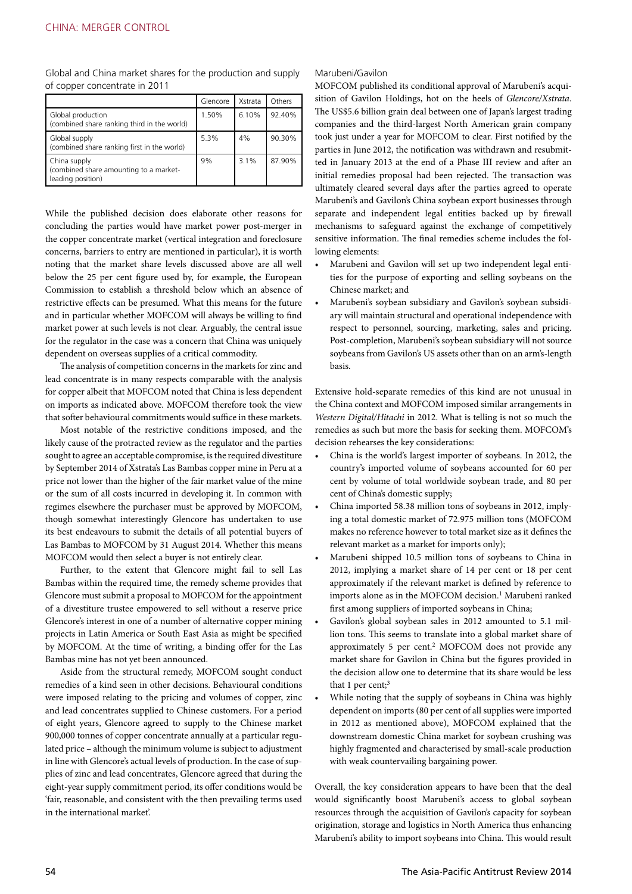Global and China market shares for the production and supply of copper concentrate in 2011

|                                                                             | Glencore | Xstrata | Others |
|-----------------------------------------------------------------------------|----------|---------|--------|
| Global production<br>(combined share ranking third in the world)            | 1.50%    | 6.10%   | 92.40% |
| Global supply<br>(combined share ranking first in the world)                | 5.3%     | 4%      | 90.30% |
| China supply<br>(combined share amounting to a market-<br>leading position) | 9%       | 3.1%    | 87.90% |

While the published decision does elaborate other reasons for concluding the parties would have market power post-merger in the copper concentrate market (vertical integration and foreclosure concerns, barriers to entry are mentioned in particular), it is worth noting that the market share levels discussed above are all well below the 25 per cent figure used by, for example, the European Commission to establish a threshold below which an absence of restrictive effects can be presumed. What this means for the future and in particular whether MOFCOM will always be willing to find market power at such levels is not clear. Arguably, the central issue for the regulator in the case was a concern that China was uniquely dependent on overseas supplies of a critical commodity.

The analysis of competition concerns in the markets for zinc and lead concentrate is in many respects comparable with the analysis for copper albeit that MOFCOM noted that China is less dependent on imports as indicated above. MOFCOM therefore took the view that softer behavioural commitments would suffice in these markets.

Most notable of the restrictive conditions imposed, and the likely cause of the protracted review as the regulator and the parties sought to agree an acceptable compromise, is the required divestiture by September 2014 of Xstrata's Las Bambas copper mine in Peru at a price not lower than the higher of the fair market value of the mine or the sum of all costs incurred in developing it. In common with regimes elsewhere the purchaser must be approved by MOFCOM, though somewhat interestingly Glencore has undertaken to use its best endeavours to submit the details of all potential buyers of Las Bambas to MOFCOM by 31 August 2014. Whether this means MOFCOM would then select a buyer is not entirely clear.

Further, to the extent that Glencore might fail to sell Las Bambas within the required time, the remedy scheme provides that Glencore must submit a proposal to MOFCOM for the appointment of a divestiture trustee empowered to sell without a reserve price Glencore's interest in one of a number of alternative copper mining projects in Latin America or South East Asia as might be specified by MOFCOM. At the time of writing, a binding offer for the Las Bambas mine has not yet been announced.

Aside from the structural remedy, MOFCOM sought conduct remedies of a kind seen in other decisions. Behavioural conditions were imposed relating to the pricing and volumes of copper, zinc and lead concentrates supplied to Chinese customers. For a period of eight years, Glencore agreed to supply to the Chinese market 900,000 tonnes of copper concentrate annually at a particular regulated price – although the minimum volume is subject to adjustment in line with Glencore's actual levels of production. In the case of supplies of zinc and lead concentrates, Glencore agreed that during the eight-year supply commitment period, its offer conditions would be 'fair, reasonable, and consistent with the then prevailing terms used in the international market'.

#### Marubeni/Gavilon

MOFCOM published its conditional approval of Marubeni's acquisition of Gavilon Holdings, hot on the heels of *Glencore/Xstrata*. The US\$5.6 billion grain deal between one of Japan's largest trading companies and the third-largest North American grain company took just under a year for MOFCOM to clear. First notified by the parties in June 2012, the notification was withdrawn and resubmitted in January 2013 at the end of a Phase III review and after an initial remedies proposal had been rejected. The transaction was ultimately cleared several days after the parties agreed to operate Marubeni's and Gavilon's China soybean export businesses through separate and independent legal entities backed up by firewall mechanisms to safeguard against the exchange of competitively sensitive information. The final remedies scheme includes the following elements:

- Marubeni and Gavilon will set up two independent legal entities for the purpose of exporting and selling soybeans on the Chinese market; and
- Marubeni's soybean subsidiary and Gavilon's soybean subsidiary will maintain structural and operational independence with respect to personnel, sourcing, marketing, sales and pricing. Post-completion, Marubeni's soybean subsidiary will not source soybeans from Gavilon's US assets other than on an arm's-length basis.

Extensive hold-separate remedies of this kind are not unusual in the China context and MOFCOM imposed similar arrangements in *Western Digital/Hitachi* in 2012. What is telling is not so much the remedies as such but more the basis for seeking them. MOFCOM's decision rehearses the key considerations:

- China is the world's largest importer of soybeans. In 2012, the country's imported volume of soybeans accounted for 60 per cent by volume of total worldwide soybean trade, and 80 per cent of China's domestic supply;
- China imported 58.38 million tons of soybeans in 2012, implying a total domestic market of 72.975 million tons (MOFCOM makes no reference however to total market size as it defines the relevant market as a market for imports only);
- Marubeni shipped 10.5 million tons of soybeans to China in 2012, implying a market share of 14 per cent or 18 per cent approximately if the relevant market is defined by reference to imports alone as in the MOFCOM decision.<sup>1</sup> Marubeni ranked first among suppliers of imported soybeans in China;
- Gavilon's global soybean sales in 2012 amounted to 5.1 million tons. This seems to translate into a global market share of approximately 5 per cent.<sup>2</sup> MOFCOM does not provide any market share for Gavilon in China but the figures provided in the decision allow one to determine that its share would be less that 1 per cent; $3$
- While noting that the supply of soybeans in China was highly dependent on imports (80 per cent of all supplies were imported in 2012 as mentioned above), MOFCOM explained that the downstream domestic China market for soybean crushing was highly fragmented and characterised by small-scale production with weak countervailing bargaining power.

Overall, the key consideration appears to have been that the deal would significantly boost Marubeni's access to global soybean resources through the acquisition of Gavilon's capacity for soybean origination, storage and logistics in North America thus enhancing Marubeni's ability to import soybeans into China. This would result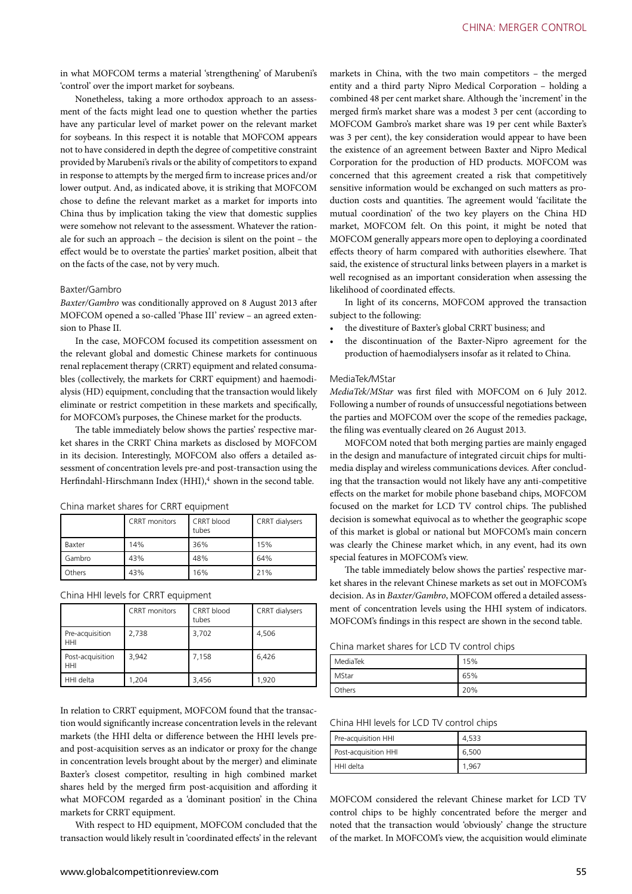in what MOFCOM terms a material 'strengthening' of Marubeni's 'control' over the import market for soybeans.

Nonetheless, taking a more orthodox approach to an assessment of the facts might lead one to question whether the parties have any particular level of market power on the relevant market for soybeans. In this respect it is notable that MOFCOM appears not to have considered in depth the degree of competitive constraint provided by Marubeni's rivals or the ability of competitors to expand in response to attempts by the merged firm to increase prices and/or lower output. And, as indicated above, it is striking that MOFCOM chose to define the relevant market as a market for imports into China thus by implication taking the view that domestic supplies were somehow not relevant to the assessment. Whatever the rationale for such an approach – the decision is silent on the point – the effect would be to overstate the parties' market position, albeit that on the facts of the case, not by very much.

#### Baxter/Gambro

*Baxter/Gambro* was conditionally approved on 8 August 2013 after MOFCOM opened a so-called 'Phase III' review – an agreed extension to Phase II.

In the case, MOFCOM focused its competition assessment on the relevant global and domestic Chinese markets for continuous renal replacement therapy (CRRT) equipment and related consumables (collectively, the markets for CRRT equipment) and haemodialysis (HD) equipment, concluding that the transaction would likely eliminate or restrict competition in these markets and specifically, for MOFCOM's purposes, the Chinese market for the products.

The table immediately below shows the parties' respective market shares in the CRRT China markets as disclosed by MOFCOM in its decision. Interestingly, MOFCOM also offers a detailed assessment of concentration levels pre-and post-transaction using the Herfindahl-Hirschmann Index (HHI),<sup>4</sup> shown in the second table.

| China market shares for CRRT equipment |  |
|----------------------------------------|--|
|----------------------------------------|--|

|        | <b>CRRT</b> monitors | CRRT blood<br>tubes | CRRT dialysers |
|--------|----------------------|---------------------|----------------|
| Baxter | 14%                  | 36%                 | 15%            |
| Gambro | 43%                  | 48%                 | 64%            |
| Others | 43%                  | 16%                 | 21%            |

China HHI levels for CRRT equipment

|                                | <b>CRRT</b> monitors | CRRT blood<br>tubes | CRRT dialysers |
|--------------------------------|----------------------|---------------------|----------------|
| Pre-acquisition<br><b>HHI</b>  | 2,738                | 3,702               | 4.506          |
| Post-acquisition<br><b>HHI</b> | 3.942                | 7,158               | 6.426          |
| HHI delta                      | 1,204                | 3,456               | 1,920          |

In relation to CRRT equipment, MOFCOM found that the transaction would significantly increase concentration levels in the relevant markets (the HHI delta or difference between the HHI levels preand post-acquisition serves as an indicator or proxy for the change in concentration levels brought about by the merger) and eliminate Baxter's closest competitor, resulting in high combined market shares held by the merged firm post-acquisition and affording it what MOFCOM regarded as a 'dominant position' in the China markets for CRRT equipment.

With respect to HD equipment, MOFCOM concluded that the transaction would likely result in 'coordinated effects' in the relevant markets in China, with the two main competitors – the merged entity and a third party Nipro Medical Corporation – holding a combined 48 per cent market share. Although the 'increment' in the merged firm's market share was a modest 3 per cent (according to MOFCOM Gambro's market share was 19 per cent while Baxter's was 3 per cent), the key consideration would appear to have been the existence of an agreement between Baxter and Nipro Medical Corporation for the production of HD products. MOFCOM was concerned that this agreement created a risk that competitively sensitive information would be exchanged on such matters as production costs and quantities. The agreement would 'facilitate the mutual coordination' of the two key players on the China HD market, MOFCOM felt. On this point, it might be noted that MOFCOM generally appears more open to deploying a coordinated effects theory of harm compared with authorities elsewhere. That said, the existence of structural links between players in a market is well recognised as an important consideration when assessing the likelihood of coordinated effects.

In light of its concerns, MOFCOM approved the transaction subject to the following:

- the divestiture of Baxter's global CRRT business; and
- the discontinuation of the Baxter-Nipro agreement for the production of haemodialysers insofar as it related to China.

#### MediaTek/MStar

*MediaTek/MStar* was first filed with MOFCOM on 6 July 2012. Following a number of rounds of unsuccessful negotiations between the parties and MOFCOM over the scope of the remedies package, the filing was eventually cleared on 26 August 2013.

MOFCOM noted that both merging parties are mainly engaged in the design and manufacture of integrated circuit chips for multimedia display and wireless communications devices. After concluding that the transaction would not likely have any anti-competitive effects on the market for mobile phone baseband chips, MOFCOM focused on the market for LCD TV control chips. The published decision is somewhat equivocal as to whether the geographic scope of this market is global or national but MOFCOM's main concern was clearly the Chinese market which, in any event, had its own special features in MOFCOM's view.

The table immediately below shows the parties' respective market shares in the relevant Chinese markets as set out in MOFCOM's decision. As in *Baxter/Gambro*, MOFCOM offered a detailed assessment of concentration levels using the HHI system of indicators. MOFCOM's findings in this respect are shown in the second table.

China market shares for LCD TV control chips

| MediaTek      | 15% |
|---------------|-----|
| MStar         | 65% |
| <b>Others</b> | 20% |

China HHI levels for LCD TV control chips

| Pre-acquisition HHI  | 4.533 |
|----------------------|-------|
| Post-acquisition HHI | 6.500 |
| HHI delta            | .967  |

MOFCOM considered the relevant Chinese market for LCD TV control chips to be highly concentrated before the merger and noted that the transaction would 'obviously' change the structure of the market. In MOFCOM's view, the acquisition would eliminate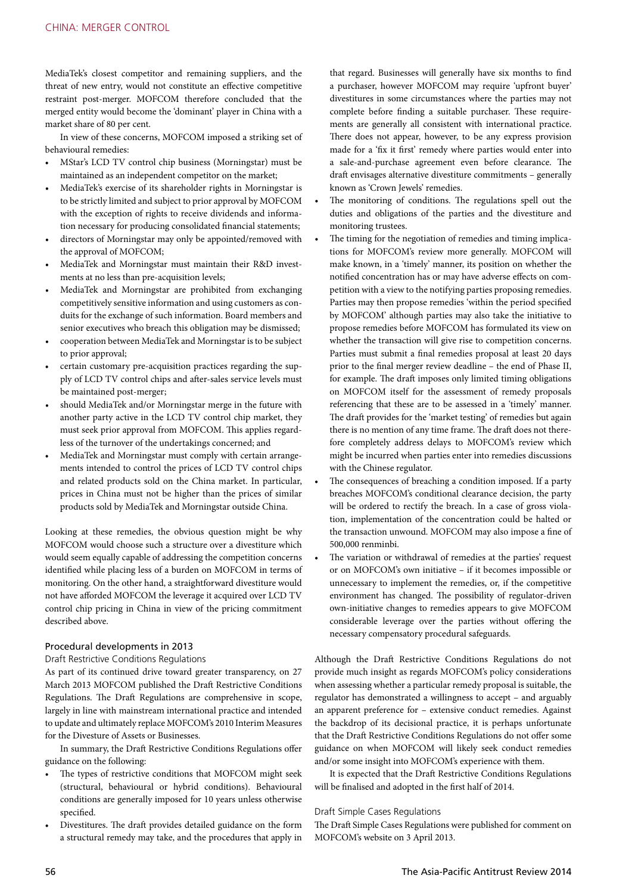MediaTek's closest competitor and remaining suppliers, and the threat of new entry, would not constitute an effective competitive restraint post-merger. MOFCOM therefore concluded that the merged entity would become the 'dominant' player in China with a market share of 80 per cent.

In view of these concerns, MOFCOM imposed a striking set of behavioural remedies:

- MStar's LCD TV control chip business (Morningstar) must be maintained as an independent competitor on the market;
- MediaTek's exercise of its shareholder rights in Morningstar is to be strictly limited and subject to prior approval by MOFCOM with the exception of rights to receive dividends and information necessary for producing consolidated financial statements;
- directors of Morningstar may only be appointed/removed with the approval of MOFCOM;
- MediaTek and Morningstar must maintain their R&D investments at no less than pre-acquisition levels;
- MediaTek and Morningstar are prohibited from exchanging competitively sensitive information and using customers as conduits for the exchange of such information. Board members and senior executives who breach this obligation may be dismissed;
- cooperation between MediaTek and Morningstar is to be subject to prior approval;
- certain customary pre-acquisition practices regarding the supply of LCD TV control chips and after-sales service levels must be maintained post-merger;
- should MediaTek and/or Morningstar merge in the future with another party active in the LCD TV control chip market, they must seek prior approval from MOFCOM. This applies regardless of the turnover of the undertakings concerned; and
- MediaTek and Morningstar must comply with certain arrangements intended to control the prices of LCD TV control chips and related products sold on the China market. In particular, prices in China must not be higher than the prices of similar products sold by MediaTek and Morningstar outside China.

Looking at these remedies, the obvious question might be why MOFCOM would choose such a structure over a divestiture which would seem equally capable of addressing the competition concerns identified while placing less of a burden on MOFCOM in terms of monitoring. On the other hand, a straightforward divestiture would not have afforded MOFCOM the leverage it acquired over LCD TV control chip pricing in China in view of the pricing commitment described above.

#### Procedural developments in 2013

Draft Restrictive Conditions Regulations

As part of its continued drive toward greater transparency, on 27 March 2013 MOFCOM published the Draft Restrictive Conditions Regulations. The Draft Regulations are comprehensive in scope, largely in line with mainstream international practice and intended to update and ultimately replace MOFCOM's 2010 Interim Measures for the Divesture of Assets or Businesses.

In summary, the Draft Restrictive Conditions Regulations offer guidance on the following:

- The types of restrictive conditions that MOFCOM might seek (structural, behavioural or hybrid conditions). Behavioural conditions are generally imposed for 10 years unless otherwise specified.
- Divestitures. The draft provides detailed guidance on the form a structural remedy may take, and the procedures that apply in

that regard. Businesses will generally have six months to find a purchaser, however MOFCOM may require 'upfront buyer' divestitures in some circumstances where the parties may not complete before finding a suitable purchaser. These requirements are generally all consistent with international practice. There does not appear, however, to be any express provision made for a 'fix it first' remedy where parties would enter into a sale-and-purchase agreement even before clearance. The draft envisages alternative divestiture commitments – generally known as 'Crown Jewels' remedies.

- The monitoring of conditions. The regulations spell out the duties and obligations of the parties and the divestiture and monitoring trustees.
- The timing for the negotiation of remedies and timing implications for MOFCOM's review more generally. MOFCOM will make known, in a 'timely' manner, its position on whether the notified concentration has or may have adverse effects on competition with a view to the notifying parties proposing remedies. Parties may then propose remedies 'within the period specified by MOFCOM' although parties may also take the initiative to propose remedies before MOFCOM has formulated its view on whether the transaction will give rise to competition concerns. Parties must submit a final remedies proposal at least 20 days prior to the final merger review deadline – the end of Phase II, for example. The draft imposes only limited timing obligations on MOFCOM itself for the assessment of remedy proposals referencing that these are to be assessed in a 'timely' manner. The draft provides for the 'market testing' of remedies but again there is no mention of any time frame. The draft does not therefore completely address delays to MOFCOM's review which might be incurred when parties enter into remedies discussions with the Chinese regulator.
- The consequences of breaching a condition imposed. If a party breaches MOFCOM's conditional clearance decision, the party will be ordered to rectify the breach. In a case of gross violation, implementation of the concentration could be halted or the transaction unwound. MOFCOM may also impose a fine of 500,000 renminbi.
- The variation or withdrawal of remedies at the parties' request or on MOFCOM's own initiative – if it becomes impossible or unnecessary to implement the remedies, or, if the competitive environment has changed. The possibility of regulator-driven own-initiative changes to remedies appears to give MOFCOM considerable leverage over the parties without offering the necessary compensatory procedural safeguards.

Although the Draft Restrictive Conditions Regulations do not provide much insight as regards MOFCOM's policy considerations when assessing whether a particular remedy proposal is suitable, the regulator has demonstrated a willingness to accept – and arguably an apparent preference for – extensive conduct remedies. Against the backdrop of its decisional practice, it is perhaps unfortunate that the Draft Restrictive Conditions Regulations do not offer some guidance on when MOFCOM will likely seek conduct remedies and/or some insight into MOFCOM's experience with them.

It is expected that the Draft Restrictive Conditions Regulations will be finalised and adopted in the first half of 2014.

#### Draft Simple Cases Regulations

The Draft Simple Cases Regulations were published for comment on MOFCOM's website on 3 April 2013.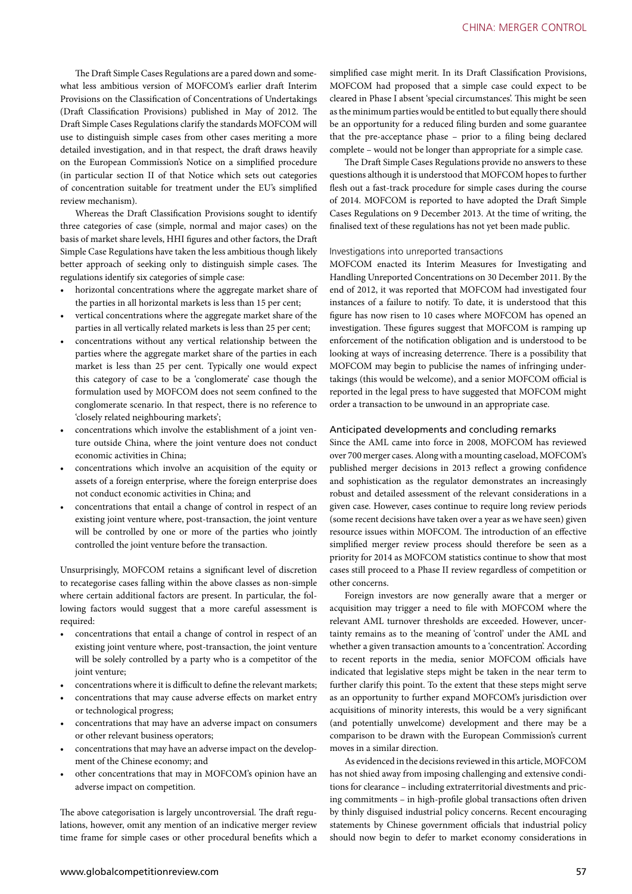The Draft Simple Cases Regulations are a pared down and somewhat less ambitious version of MOFCOM's earlier draft Interim Provisions on the Classification of Concentrations of Undertakings (Draft Classification Provisions) published in May of 2012. The Draft Simple Cases Regulations clarify the standards MOFCOM will use to distinguish simple cases from other cases meriting a more detailed investigation, and in that respect, the draft draws heavily on the European Commission's Notice on a simplified procedure (in particular section II of that Notice which sets out categories of concentration suitable for treatment under the EU's simplified review mechanism).

Whereas the Draft Classification Provisions sought to identify three categories of case (simple, normal and major cases) on the basis of market share levels, HHI figures and other factors, the Draft Simple Case Regulations have taken the less ambitious though likely better approach of seeking only to distinguish simple cases. The regulations identify six categories of simple case:

- horizontal concentrations where the aggregate market share of the parties in all horizontal markets is less than 15 per cent;
- vertical concentrations where the aggregate market share of the parties in all vertically related markets is less than 25 per cent;
- concentrations without any vertical relationship between the parties where the aggregate market share of the parties in each market is less than 25 per cent. Typically one would expect this category of case to be a 'conglomerate' case though the formulation used by MOFCOM does not seem confined to the conglomerate scenario. In that respect, there is no reference to 'closely related neighbouring markets';
- concentrations which involve the establishment of a joint venture outside China, where the joint venture does not conduct economic activities in China;
- concentrations which involve an acquisition of the equity or assets of a foreign enterprise, where the foreign enterprise does not conduct economic activities in China; and
- concentrations that entail a change of control in respect of an existing joint venture where, post-transaction, the joint venture will be controlled by one or more of the parties who jointly controlled the joint venture before the transaction.

Unsurprisingly, MOFCOM retains a significant level of discretion to recategorise cases falling within the above classes as non-simple where certain additional factors are present. In particular, the following factors would suggest that a more careful assessment is required:

- concentrations that entail a change of control in respect of an existing joint venture where, post-transaction, the joint venture will be solely controlled by a party who is a competitor of the joint venture;
- concentrations where it is difficult to define the relevant markets;
- concentrations that may cause adverse effects on market entry or technological progress;
- concentrations that may have an adverse impact on consumers or other relevant business operators;
- concentrations that may have an adverse impact on the development of the Chinese economy; and
- other concentrations that may in MOFCOM's opinion have an adverse impact on competition.

The above categorisation is largely uncontroversial. The draft regulations, however, omit any mention of an indicative merger review time frame for simple cases or other procedural benefits which a

simplified case might merit. In its Draft Classification Provisions, MOFCOM had proposed that a simple case could expect to be cleared in Phase I absent 'special circumstances'. This might be seen as the minimum parties would be entitled to but equally there should be an opportunity for a reduced filing burden and some guarantee that the pre-acceptance phase – prior to a filing being declared complete – would not be longer than appropriate for a simple case.

The Draft Simple Cases Regulations provide no answers to these questions although it is understood that MOFCOM hopes to further flesh out a fast-track procedure for simple cases during the course of 2014. MOFCOM is reported to have adopted the Draft Simple Cases Regulations on 9 December 2013. At the time of writing, the finalised text of these regulations has not yet been made public.

#### Investigations into unreported transactions

MOFCOM enacted its Interim Measures for Investigating and Handling Unreported Concentrations on 30 December 2011. By the end of 2012, it was reported that MOFCOM had investigated four instances of a failure to notify. To date, it is understood that this figure has now risen to 10 cases where MOFCOM has opened an investigation. These figures suggest that MOFCOM is ramping up enforcement of the notification obligation and is understood to be looking at ways of increasing deterrence. There is a possibility that MOFCOM may begin to publicise the names of infringing undertakings (this would be welcome), and a senior MOFCOM official is reported in the legal press to have suggested that MOFCOM might order a transaction to be unwound in an appropriate case.

#### Anticipated developments and concluding remarks

Since the AML came into force in 2008, MOFCOM has reviewed over 700 merger cases. Along with a mounting caseload, MOFCOM's published merger decisions in 2013 reflect a growing confidence and sophistication as the regulator demonstrates an increasingly robust and detailed assessment of the relevant considerations in a given case. However, cases continue to require long review periods (some recent decisions have taken over a year as we have seen) given resource issues within MOFCOM. The introduction of an effective simplified merger review process should therefore be seen as a priority for 2014 as MOFCOM statistics continue to show that most cases still proceed to a Phase II review regardless of competition or other concerns.

Foreign investors are now generally aware that a merger or acquisition may trigger a need to file with MOFCOM where the relevant AML turnover thresholds are exceeded. However, uncertainty remains as to the meaning of 'control' under the AML and whether a given transaction amounts to a 'concentration'. According to recent reports in the media, senior MOFCOM officials have indicated that legislative steps might be taken in the near term to further clarify this point. To the extent that these steps might serve as an opportunity to further expand MOFCOM's jurisdiction over acquisitions of minority interests, this would be a very significant (and potentially unwelcome) development and there may be a comparison to be drawn with the European Commission's current moves in a similar direction.

As evidenced in the decisions reviewed in this article, MOFCOM has not shied away from imposing challenging and extensive conditions for clearance – including extraterritorial divestments and pricing commitments – in high-profile global transactions often driven by thinly disguised industrial policy concerns. Recent encouraging statements by Chinese government officials that industrial policy should now begin to defer to market economy considerations in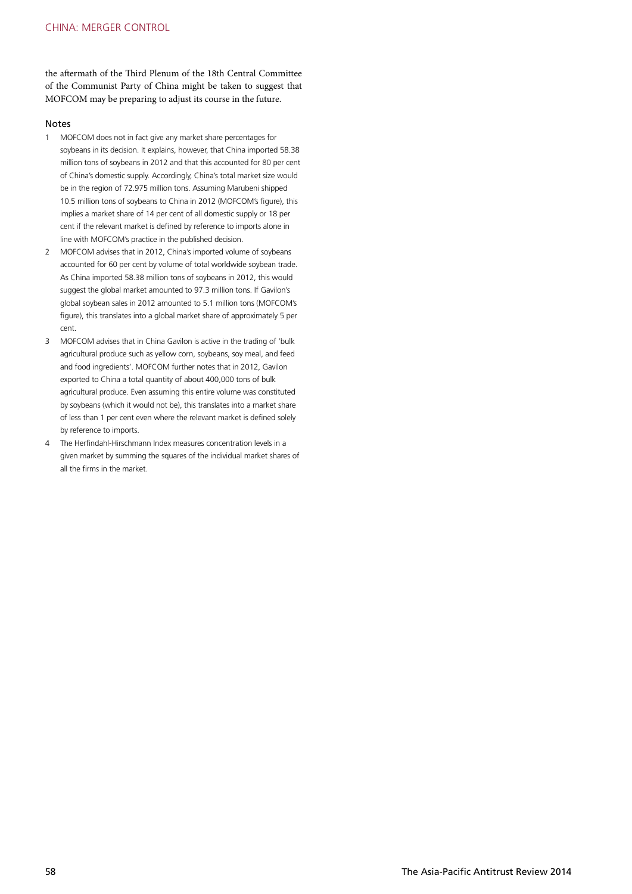the aftermath of the Third Plenum of the 18th Central Committee of the Communist Party of China might be taken to suggest that MOFCOM may be preparing to adjust its course in the future.

#### Notes

- 1 MOFCOM does not in fact give any market share percentages for soybeans in its decision. It explains, however, that China imported 58.38 million tons of soybeans in 2012 and that this accounted for 80 per cent of China's domestic supply. Accordingly, China's total market size would be in the region of 72.975 million tons. Assuming Marubeni shipped 10.5 million tons of soybeans to China in 2012 (MOFCOM's figure), this implies a market share of 14 per cent of all domestic supply or 18 per cent if the relevant market is defined by reference to imports alone in line with MOFCOM's practice in the published decision.
- 2 MOFCOM advises that in 2012, China's imported volume of soybeans accounted for 60 per cent by volume of total worldwide soybean trade. As China imported 58.38 million tons of soybeans in 2012, this would suggest the global market amounted to 97.3 million tons. If Gavilon's global soybean sales in 2012 amounted to 5.1 million tons (MOFCOM's figure), this translates into a global market share of approximately 5 per cent.
- 3 MOFCOM advises that in China Gavilon is active in the trading of 'bulk agricultural produce such as yellow corn, soybeans, soy meal, and feed and food ingredients'. MOFCOM further notes that in 2012, Gavilon exported to China a total quantity of about 400,000 tons of bulk agricultural produce. Even assuming this entire volume was constituted by soybeans (which it would not be), this translates into a market share of less than 1 per cent even where the relevant market is defined solely by reference to imports.
- 4 The Herfindahl-Hirschmann Index measures concentration levels in a given market by summing the squares of the individual market shares of all the firms in the market.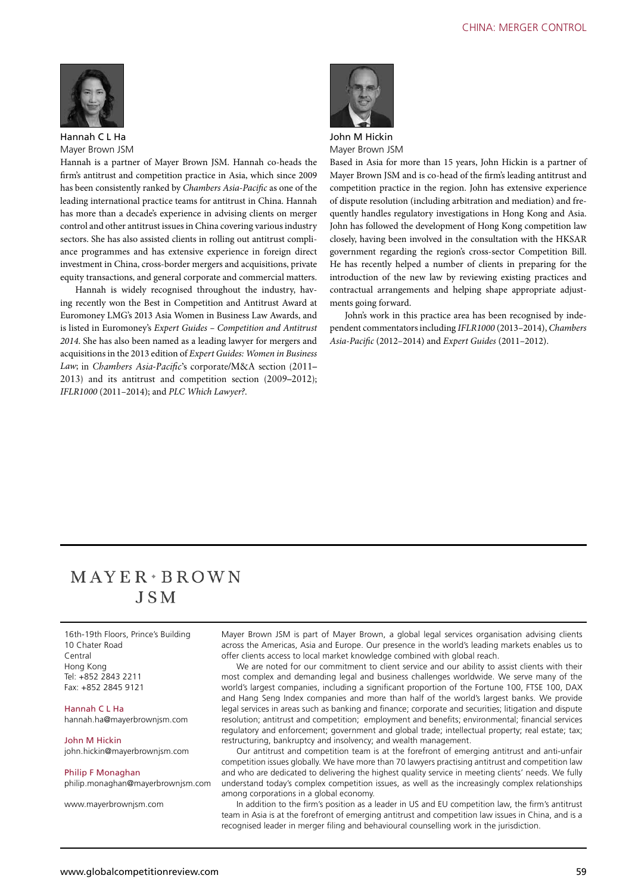

#### Hannah C L Ha Mayer Brown JSM

Hannah is a partner of Mayer Brown JSM. Hannah co-heads the firm's antitrust and competition practice in Asia, which since 2009 has been consistently ranked by *Chambers Asia-Pacific* as one of the leading international practice teams for antitrust in China. Hannah has more than a decade's experience in advising clients on merger control and other antitrust issues in China covering various industry sectors. She has also assisted clients in rolling out antitrust compliance programmes and has extensive experience in foreign direct investment in China, cross-border mergers and acquisitions, private equity transactions, and general corporate and commercial matters.

Hannah is widely recognised throughout the industry, having recently won the Best in Competition and Antitrust Award at Euromoney LMG's 2013 Asia Women in Business Law Awards, and is listed in Euromoney's *Expert Guides – Competition and Antitrust 2014*. She has also been named as a leading lawyer for mergers and acquisitions in the 2013 edition of *Expert Guides: Women in Business Law*; in *Chambers Asia-Pacific*'s corporate/M&A section (2011– 2013) and its antitrust and competition section (2009–2012); *IFLR1000* (2011–2014); and *PLC Which Lawyer?*.



John M Hickin Mayer Brown JSM

Based in Asia for more than 15 years, John Hickin is a partner of Mayer Brown JSM and is co-head of the firm's leading antitrust and competition practice in the region. John has extensive experience of dispute resolution (including arbitration and mediation) and frequently handles regulatory investigations in Hong Kong and Asia. John has followed the development of Hong Kong competition law closely, having been involved in the consultation with the HKSAR government regarding the region's cross-sector Competition Bill. He has recently helped a number of clients in preparing for the introduction of the new law by reviewing existing practices and contractual arrangements and helping shape appropriate adjustments going forward.

John's work in this practice area has been recognised by independent commentators including *IFLR1000* (2013–2014), *Chambers Asia-Pacific* (2012–2014) and *Expert Guides* (2011–2012).

# $MAYER*BROWN$ **JSM**

16th-19th Floors, Prince's Building 10 Chater Road Central Hong Kong Tel: +852 2843 2211 Fax: +852 2845 9121

Hannah C L Ha hannah.ha@mayerbrownjsm.com

John M Hickin john.hickin@mayerbrownjsm.com

Philip F Monaghan philip.monaghan@mayerbrownjsm.com

www.mayerbrownjsm.com

Mayer Brown JSM is part of Mayer Brown, a global legal services organisation advising clients across the Americas, Asia and Europe. Our presence in the world's leading markets enables us to offer clients access to local market knowledge combined with global reach.

We are noted for our commitment to client service and our ability to assist clients with their most complex and demanding legal and business challenges worldwide. We serve many of the world's largest companies, including a significant proportion of the Fortune 100, FTSE 100, DAX and Hang Seng Index companies and more than half of the world's largest banks. We provide legal services in areas such as banking and finance; corporate and securities; litigation and dispute resolution; antitrust and competition; employment and benefits; environmental; financial services regulatory and enforcement; government and global trade; intellectual property; real estate; tax; restructuring, bankruptcy and insolvency; and wealth management.

Our antitrust and competition team is at the forefront of emerging antitrust and anti-unfair competition issues globally. We have more than 70 lawyers practising antitrust and competition law and who are dedicated to delivering the highest quality service in meeting clients' needs. We fully understand today's complex competition issues, as well as the increasingly complex relationships among corporations in a global economy.

In addition to the firm's position as a leader in US and EU competition law, the firm's antitrust team in Asia is at the forefront of emerging antitrust and competition law issues in China, and is a recognised leader in merger filing and behavioural counselling work in the jurisdiction.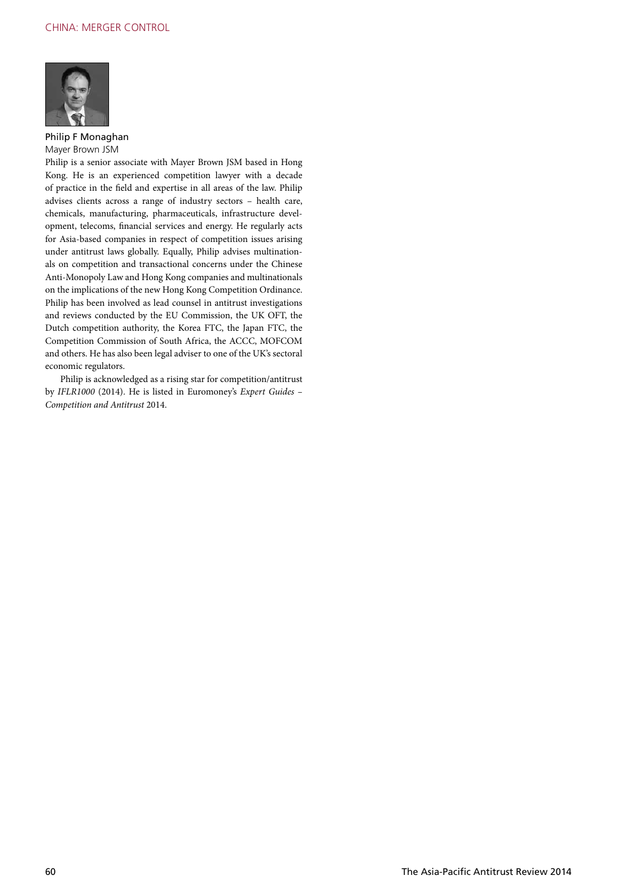

Philip F Monaghan Mayer Brown JSM

Philip is a senior associate with Mayer Brown JSM based in Hong Kong. He is an experienced competition lawyer with a decade of practice in the field and expertise in all areas of the law. Philip advises clients across a range of industry sectors – health care, chemicals, manufacturing, pharmaceuticals, infrastructure development, telecoms, financial services and energy. He regularly acts for Asia-based companies in respect of competition issues arising under antitrust laws globally. Equally, Philip advises multinationals on competition and transactional concerns under the Chinese Anti-Monopoly Law and Hong Kong companies and multinationals on the implications of the new Hong Kong Competition Ordinance. Philip has been involved as lead counsel in antitrust investigations and reviews conducted by the EU Commission, the UK OFT, the Dutch competition authority, the Korea FTC, the Japan FTC, the Competition Commission of South Africa, the ACCC, MOFCOM and others. He has also been legal adviser to one of the UK's sectoral economic regulators.

Philip is acknowledged as a rising star for competition/antitrust by *IFLR1000* (2014). He is listed in Euromoney's *Expert Guides – Competition and Antitrust* 2014.